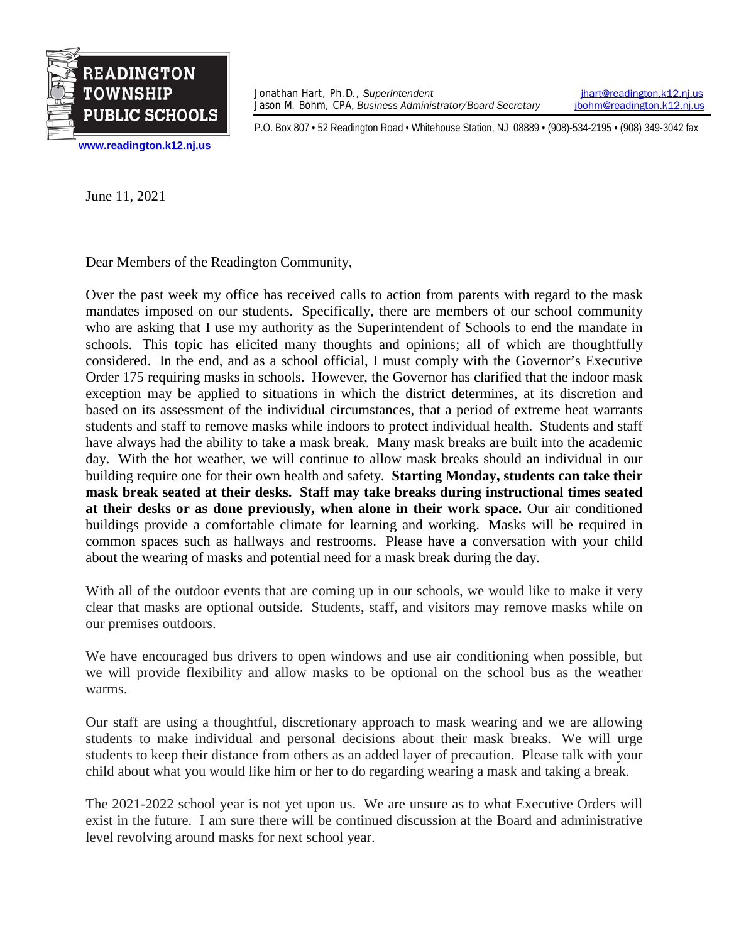

Jonathan Hart, Ph.D., *Superintendent*<br>Jason M. Bohm, CPA, *Business Administrator/Board Secretary jbohm@readington.k12.nj.us* Jason M. Bohm, CPA, *Business Administrator/Board Secretary* 

P.O. Box 807 • 52 Readington Road • Whitehouse Station, NJ 08889 • (908)-534-2195 • (908) 349-3042 fax

**[www.readington.k12.nj.us](http://www.readington.k12.nj.us/)**

June 11, 2021

Dear Members of the Readington Community,

Over the past week my office has received calls to action from parents with regard to the mask mandates imposed on our students. Specifically, there are members of our school community who are asking that I use my authority as the Superintendent of Schools to end the mandate in schools. This topic has elicited many thoughts and opinions; all of which are thoughtfully considered. In the end, and as a school official, I must comply with the Governor's Executive Order 175 requiring masks in schools. However, the Governor has clarified that the indoor mask exception may be applied to situations in which the district determines, at its discretion and based on its assessment of the individual circumstances, that a period of extreme heat warrants students and staff to remove masks while indoors to protect individual health. Students and staff have always had the ability to take a mask break. Many mask breaks are built into the academic day. With the hot weather, we will continue to allow mask breaks should an individual in our building require one for their own health and safety. **Starting Monday, students can take their mask break seated at their desks. Staff may take breaks during instructional times seated at their desks or as done previously, when alone in their work space.** Our air conditioned buildings provide a comfortable climate for learning and working. Masks will be required in common spaces such as hallways and restrooms. Please have a conversation with your child about the wearing of masks and potential need for a mask break during the day.

With all of the outdoor events that are coming up in our schools, we would like to make it very clear that masks are optional outside. Students, staff, and visitors may remove masks while on our premises outdoors.

We have encouraged bus drivers to open windows and use air conditioning when possible, but we will provide flexibility and allow masks to be optional on the school bus as the weather warms.

Our staff are using a thoughtful, discretionary approach to mask wearing and we are allowing students to make individual and personal decisions about their mask breaks. We will urge students to keep their distance from others as an added layer of precaution. Please talk with your child about what you would like him or her to do regarding wearing a mask and taking a break.

The 2021-2022 school year is not yet upon us. We are unsure as to what Executive Orders will exist in the future. I am sure there will be continued discussion at the Board and administrative level revolving around masks for next school year.